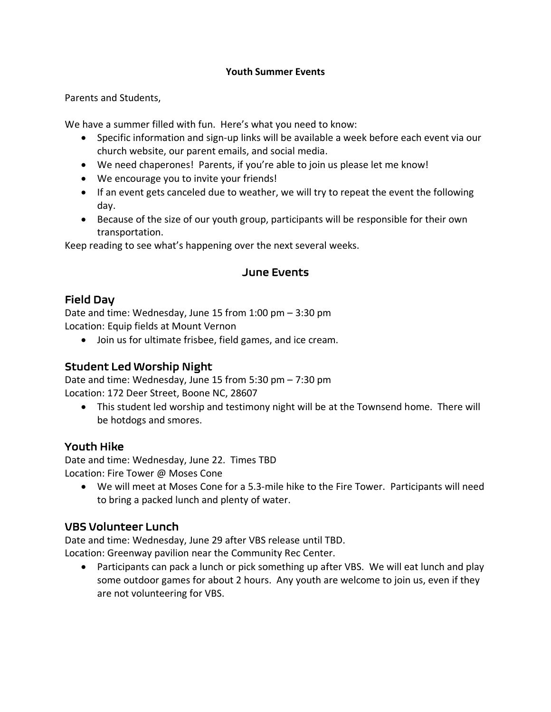#### **Youth Summer Events**

Parents and Students,

We have a summer filled with fun. Here's what you need to know:

- Specific information and sign-up links will be available a week before each event via our church website, our parent emails, and social media.
- We need chaperones! Parents, if you're able to join us please let me know!
- We encourage you to invite your friends!
- If an event gets canceled due to weather, we will try to repeat the event the following day.
- Because of the size of our youth group, participants will be responsible for their own transportation.

Keep reading to see what's happening over the next several weeks.

#### June Events

## Field Day

Date and time: Wednesday, June 15 from 1:00 pm – 3:30 pm Location: Equip fields at Mount Vernon

• Join us for ultimate frisbee, field games, and ice cream.

### Student Led Worship Night

Date and time: Wednesday, June 15 from 5:30 pm – 7:30 pm Location: 172 Deer Street, Boone NC, 28607

• This student led worship and testimony night will be at the Townsend home. There will be hotdogs and smores.

### Youth Hike

Date and time: Wednesday, June 22. Times TBD Location: Fire Tower @ Moses Cone

• We will meet at Moses Cone for a 5.3-mile hike to the Fire Tower. Participants will need to bring a packed lunch and plenty of water.

## VBS Volunteer Lunch

Date and time: Wednesday, June 29 after VBS release until TBD.

Location: Greenway pavilion near the Community Rec Center.

• Participants can pack a lunch or pick something up after VBS. We will eat lunch and play some outdoor games for about 2 hours. Any youth are welcome to join us, even if they are not volunteering for VBS.